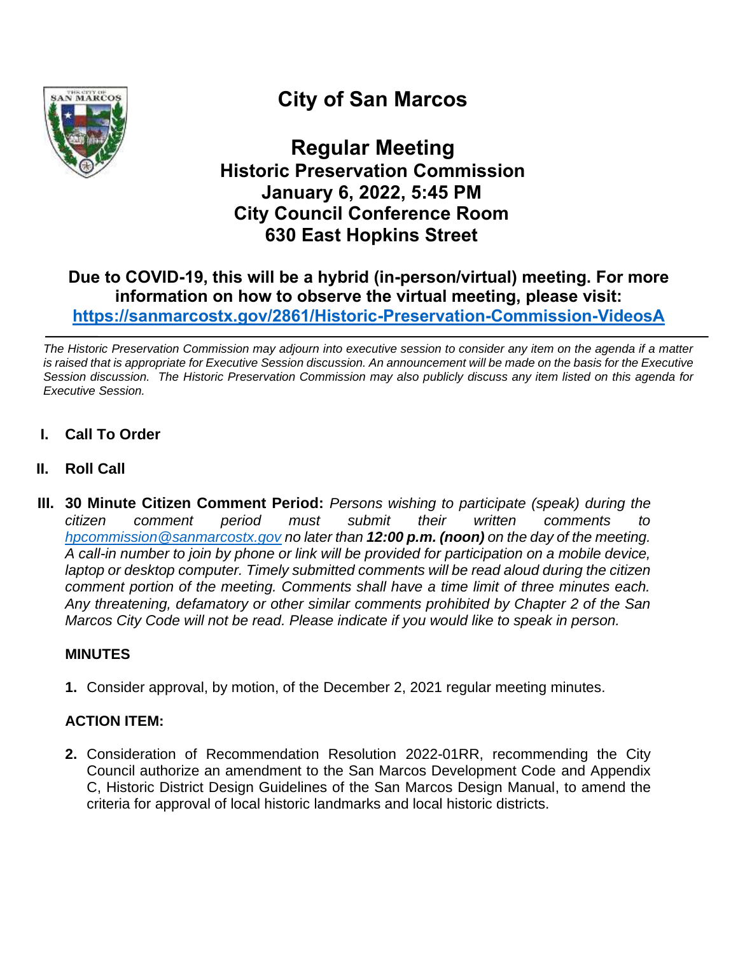

# **City of San Marcos**

**Regular Meeting Historic Preservation Commission January 6, 2022, 5:45 PM City Council Conference Room 630 East Hopkins Street**

# **Due to COVID-19, this will be a hybrid (in-person/virtual) meeting. For more information on how to observe the virtual meeting, please visit: <https://sanmarcostx.gov/2861/Historic-Preservation-Commission-VideosA>**

*The Historic Preservation Commission may adjourn into executive session to consider any item on the agenda if a matter is raised that is appropriate for Executive Session discussion. An announcement will be made on the basis for the Executive Session discussion. The Historic Preservation Commission may also publicly discuss any item listed on this agenda for Executive Session.*

- **I. Call To Order**
- **II. Roll Call**
- **III. 30 Minute Citizen Comment Period:** *Persons wishing to participate (speak) during the citizen comment period must submit their written comments to [hpcommission@sanmarcostx.gov](mailto:hpcommission@sanmarcostx.gov) no later than 12:00 p.m. (noon) on the day of the meeting. A call-in number to join by phone or link will be provided for participation on a mobile device, laptop or desktop computer. Timely submitted comments will be read aloud during the citizen comment portion of the meeting. Comments shall have a time limit of three minutes each. Any threatening, defamatory or other similar comments prohibited by Chapter 2 of the San Marcos City Code will not be read. Please indicate if you would like to speak in person.*

# **MINUTES**

**1.** Consider approval, by motion, of the December 2, 2021 regular meeting minutes.

# **ACTION ITEM:**

**2.** Consideration of Recommendation Resolution 2022-01RR, recommending the City Council authorize an amendment to the San Marcos Development Code and Appendix C, Historic District Design Guidelines of the San Marcos Design Manual, to amend the criteria for approval of local historic landmarks and local historic districts.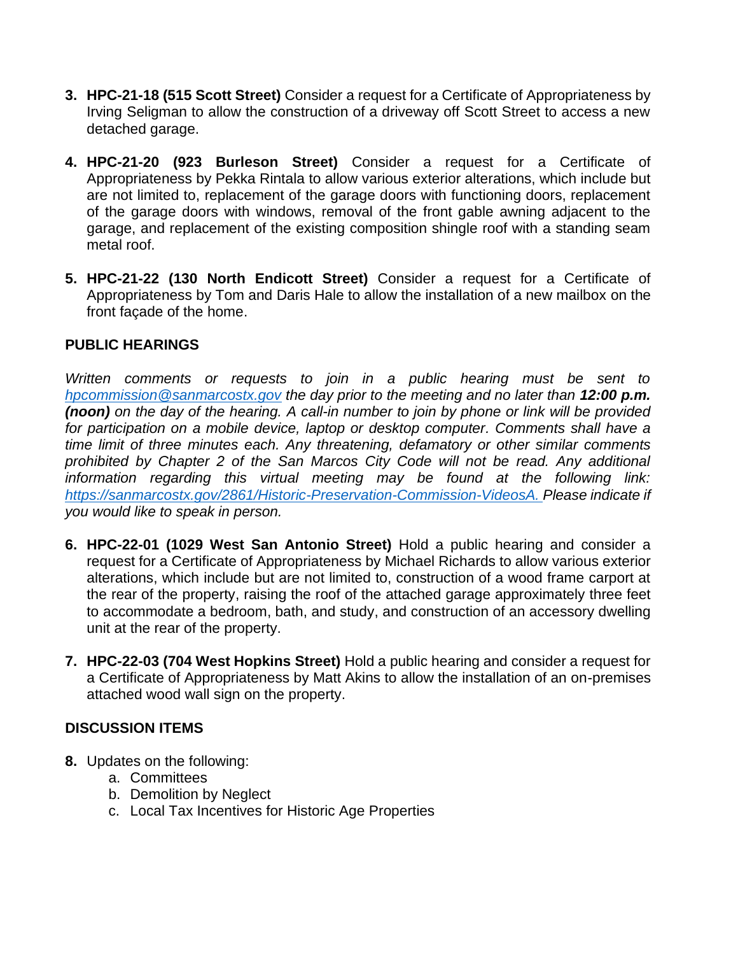- **3. HPC-21-18 (515 Scott Street)** Consider a request for a Certificate of Appropriateness by Irving Seligman to allow the construction of a driveway off Scott Street to access a new detached garage.
- **4. HPC-21-20 (923 Burleson Street)** Consider a request for a Certificate of Appropriateness by Pekka Rintala to allow various exterior alterations, which include but are not limited to, replacement of the garage doors with functioning doors, replacement of the garage doors with windows, removal of the front gable awning adjacent to the garage, and replacement of the existing composition shingle roof with a standing seam metal roof.
- **5. HPC-21-22 (130 North Endicott Street)** Consider a request for a Certificate of Appropriateness by Tom and Daris Hale to allow the installation of a new mailbox on the front façade of the home.

#### **PUBLIC HEARINGS**

*Written comments or requests to join in a public hearing must be sent to [hpcommission@sanmarcostx.gov](mailto:hpcommission@sanmarcostx.gov) the day prior to the meeting and no later than 12:00 p.m. (noon) on the day of the hearing. A call-in number to join by phone or link will be provided for participation on a mobile device, laptop or desktop computer. Comments shall have a time limit of three minutes each. Any threatening, defamatory or other similar comments prohibited by Chapter 2 of the San Marcos City Code will not be read. Any additional information regarding this virtual meeting may be found at the following link: [https://sanmarcostx.gov/2861/Historic-Preservation-Commission-VideosA.](https://sanmarcostx.gov/2861/Historic-Preservation-Commission-VideosA) Please indicate if you would like to speak in person.*

- **6. HPC-22-01 (1029 West San Antonio Street)** Hold a public hearing and consider a request for a Certificate of Appropriateness by Michael Richards to allow various exterior alterations, which include but are not limited to, construction of a wood frame carport at the rear of the property, raising the roof of the attached garage approximately three feet to accommodate a bedroom, bath, and study, and construction of an accessory dwelling unit at the rear of the property.
- **7. HPC-22-03 (704 West Hopkins Street)** Hold a public hearing and consider a request for a Certificate of Appropriateness by Matt Akins to allow the installation of an on-premises attached wood wall sign on the property.

#### **DISCUSSION ITEMS**

- **8.** Updates on the following:
	- a. Committees
	- b. Demolition by Neglect
	- c. Local Tax Incentives for Historic Age Properties